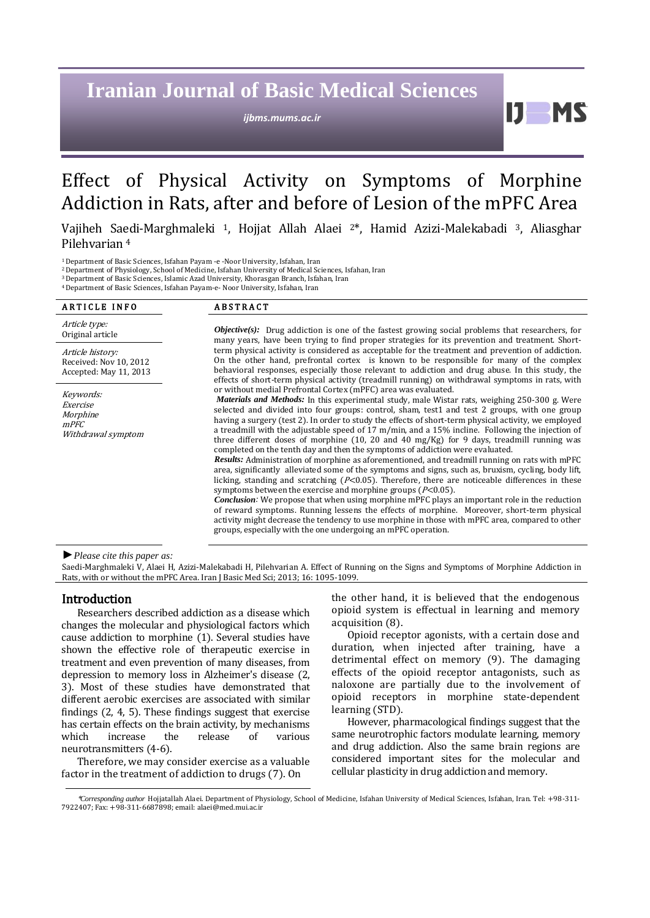# **Iranian Journal of Basic Medical Sciences**

*ijbms.mums.ac.ir*

11 **MS** 

## Effect of Physical Activity on Symptoms of Morphine Addiction in Rats, after and before of Lesion of the mPFC Area

 Vajiheh Saedi-Marghmaleki 1, Hojjat Allah Alaei 2\*, Hamid Azizi-Malekabadi <sup>3</sup>, Aliasghar Pilehvarian <sup>4</sup>

<sup>1</sup>Department of Basic Sciences, Isfahan Payam -e -Noor University, Isfahan, Iran

<sup>2</sup>Department of Physiology, School of Medicine, Isfahan University of Medical Sciences, Isfahan, Iran

<sup>3</sup>Department of Basic Sciences, Islamic Azad University, Khorasgan Branch, Isfahan, Iran

<sup>4</sup>Department of Basic Sciences, Isfahan Payam-e- Noor University, Isfahan, Iran

| <b>ABSTRACT</b>                                                                                                                                                                                                                                                                                                                                                                                                                                                                                                                                                                                                                                                                                                                                                                                                                                                                                                                                                                                                                                                                                                                                                                                                                                                                                                                                                                                                                                    |
|----------------------------------------------------------------------------------------------------------------------------------------------------------------------------------------------------------------------------------------------------------------------------------------------------------------------------------------------------------------------------------------------------------------------------------------------------------------------------------------------------------------------------------------------------------------------------------------------------------------------------------------------------------------------------------------------------------------------------------------------------------------------------------------------------------------------------------------------------------------------------------------------------------------------------------------------------------------------------------------------------------------------------------------------------------------------------------------------------------------------------------------------------------------------------------------------------------------------------------------------------------------------------------------------------------------------------------------------------------------------------------------------------------------------------------------------------|
| <b><i>Objective(s):</i></b> Drug addiction is one of the fastest growing social problems that researchers, for<br>many years, have been trying to find proper strategies for its prevention and treatment. Short-                                                                                                                                                                                                                                                                                                                                                                                                                                                                                                                                                                                                                                                                                                                                                                                                                                                                                                                                                                                                                                                                                                                                                                                                                                  |
| term physical activity is considered as acceptable for the treatment and prevention of addiction.<br>On the other hand, prefrontal cortex is known to be responsible for many of the complex<br>behavioral responses, especially those relevant to addiction and drug abuse. In this study, the<br>effects of short-term physical activity (treadmill running) on withdrawal symptoms in rats, with                                                                                                                                                                                                                                                                                                                                                                                                                                                                                                                                                                                                                                                                                                                                                                                                                                                                                                                                                                                                                                                |
| or without medial Prefrontal Cortex (mPFC) area was evaluated.<br><i>Materials and Methods:</i> In this experimental study, male Wistar rats, weighing 250-300 g. Were<br>selected and divided into four groups: control, sham, test1 and test 2 groups, with one group<br>having a surgery (test 2). In order to study the effects of short-term physical activity, we employed<br>a treadmill with the adjustable speed of 17 m/min, and a 15% incline. Following the injection of<br>three different doses of morphine $(10, 20, 40, 40, \text{mg/Kg})$ for 9 days, treadmill running was<br>completed on the tenth day and then the symptoms of addiction were evaluated.<br><b>Results:</b> Administration of morphine as aforementioned, and treadmill running on rats with mPFC<br>area, significantly alleviated some of the symptoms and signs, such as, bruxism, cycling, body lift,<br>licking, standing and scratching ( $P<0.05$ ). Therefore, there are noticeable differences in these<br>symptoms between the exercise and morphine groups ( $P<0.05$ ).<br><b>Conclusion:</b> We propose that when using morphine mPFC plays an important role in the reduction<br>of reward symptoms. Running lessens the effects of morphine. Moreover, short-term physical<br>activity might decrease the tendency to use morphine in those with mPFC area, compared to other<br>groups, especially with the one undergoing an mPFC operation. |
|                                                                                                                                                                                                                                                                                                                                                                                                                                                                                                                                                                                                                                                                                                                                                                                                                                                                                                                                                                                                                                                                                                                                                                                                                                                                                                                                                                                                                                                    |

#### *►Please cite this paper as:*

Saedi-Marghmaleki V, Alaei H, Azizi-Malekabadi H, Pilehvarian A. Effect of Running on the Signs and Symptoms of Morphine Addiction in Rats, with or without the mPFC Area. Iran J Basic Med Sci; 2013; 16: 1095-1099.

#### Introduction

Researchers described addiction as a disease which changes the molecular and physiological factors which cause addiction to morphine (1). Several studies have shown the effective role of therapeutic exercise in treatment and even prevention of many diseases, from depression to memory loss in Alzheimer's disease (2, 3). Most of these studies have demonstrated that different aerobic exercises are associated with similar findings (2, 4, 5). These findings suggest that exercise has certain effects on the brain activity, by mechanisms which increase the release of various neurotransmitters (4-6).

Therefore, we may consider exercise as a valuable factor in the treatment of addiction to drugs (7). On

the other hand, it is believed that the endogenous opioid system is effectual in learning and memory acquisition (8).

Opioid receptor agonists, with a certain dose and duration, when injected after training, have a detrimental effect on memory (9). The damaging effects of the opioid receptor antagonists, such as naloxone are partially due to the involvement of opioid receptors in morphine state-dependent learning (STD).

However, pharmacological findings suggest that the same neurotrophic factors modulate learning, memory and drug addiction. Also the same brain regions are considered important sites for the molecular and cellular plasticity in drug addiction and memory.

<sup>\*</sup>*Corresponding author* Hojjatallah Alaei. Department of Physiology, School of Medicine, Isfahan University of Medical Sciences, Isfahan, Iran. Tel: +98-311- 7922407; Fax: +98-311-6687898; email: alaei@med.mui.ac.ir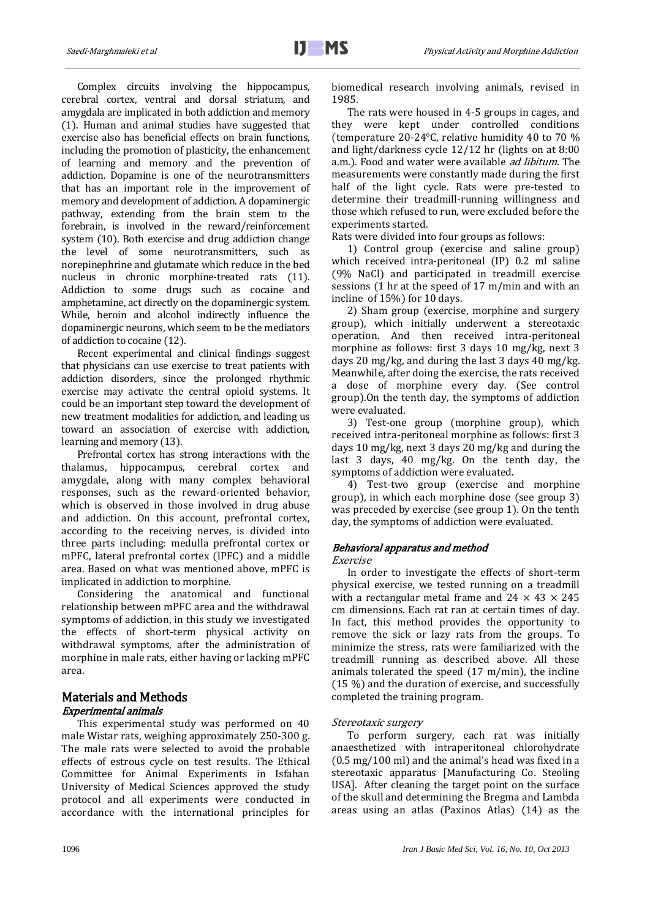Complex circuits involving the hippocampus, cerebral cortex, ventral and dorsal striatum, and amygdala are implicated in both addiction and memory (1). Human and animal studies have suggested that exercise also has beneficial effects on brain functions, including the promotion of plasticity, the enhancement of learning and memory and the prevention of addiction. Dopamine is one of the neurotransmitters that has an important role in the improvement of memory and development of addiction. A dopaminergic pathway, extending from the brain stem to the forebrain, is involved in the reward/reinforcement system (10). Both exercise and drug addiction change the level of some neurotransmitters, such as norepinephrine and glutamate which reduce in the bed nucleus in chronic morphine-treated rats (11). Addiction to some drugs such as cocaine and amphetamine, act directly on the dopaminergic system. While, heroin and alcohol indirectly influence the dopaminergic neurons, which seem to be the mediators of addiction to cocaine (12).

Recent experimental and clinical findings suggest that physicians can use exercise to treat patients with addiction disorders, since the prolonged rhythmic exercise may activate the central opioid systems. It could be an important step toward the development of new treatment modalities for addiction, and leading us toward an association of exercise with addiction, learning and memory (13).

Prefrontal cortex has strong interactions with the thalamus, hippocampus, cerebral cortex and amygdale, along with many complex behavioral responses, such as the reward-oriented behavior, which is observed in those involved in drug abuse and addiction. On this account, prefrontal cortex, according to the receiving nerves, is divided into three parts including: medulla prefrontal cortex or mPFC, lateral prefrontal cortex (lPFC) and a middle area. Based on what was mentioned above, mPFC is implicated in addiction to morphine.

Considering the anatomical and functional relationship between mPFC area and the withdrawal symptoms of addiction, in this study we investigated the effects of short-term physical activity on withdrawal symptoms, after the administration of morphine in male rats, either having or lacking mPFC area.

## Materials and Methods Experimental animals

This experimental study was performed on 40 male Wistar rats, weighing approximately 250-300 g. The male rats were selected to avoid the probable effects of estrous cycle on test results. The Ethical Committee for Animal Experiments in Isfahan University of Medical Sciences approved the study protocol and all experiments were conducted in accordance with the international principles for biomedical research involving animals, revised in 1985.

The rats were housed in 4-5 groups in cages, and they were kept under controlled conditions (temperature 20-24°C, relative humidity 40 to 70 % and light/darkness cycle 12/12 hr (lights on at 8:00 a.m.). Food and water were available *ad libitum*. The measurements were constantly made during the first half of the light cycle. Rats were pre-tested to determine their treadmill-running willingness and those which refused to run, were excluded before the experiments started.

Rats were divided into four groups as follows:

1) Control group (exercise and saline group) which received intra-peritoneal (IP) 0.2 ml saline (9% NaCl) and participated in treadmill exercise sessions (1 hr at the speed of 17 m/min and with an incline of 15%) for 10 days.

2) Sham group (exercise, morphine and surgery group), which initially underwent a stereotaxic operation. And then received intra-peritoneal morphine as follows: first 3 days 10 mg/kg, next 3 days 20 mg/kg, and during the last 3 days 40 mg/kg. Meanwhile, after doing the exercise, the rats received a dose of morphine every day. (See control group).On the tenth day, the symptoms of addiction were evaluated.

3) Test-one group (morphine group), which received intra-peritoneal morphine as follows: first 3 days 10 mg/kg, next 3 days 20 mg/kg and during the last 3 days, 40 mg/kg. On the tenth day, the symptoms of addiction were evaluated.

4) Test-two group (exercise and morphine group), in which each morphine dose (see group 3) was preceded by exercise (see group 1). On the tenth day, the symptoms of addiction were evaluated.

## Behavioral apparatus and method

#### Exercise

In order to investigate the effects of short-term physical exercise, we tested running on a treadmill with a rectangular metal frame and  $24 \times 43 \times 245$ cm dimensions. Each rat ran at certain times of day. In fact, this method provides the opportunity to remove the sick or lazy rats from the groups. To minimize the stress, rats were familiarized with the treadmill running as described above. All these animals tolerated the speed (17 m/min), the incline (15 %) and the duration of exercise, and successfully completed the training program.

#### Stereotaxic surgery

To perform surgery, each rat was initially anaesthetized with intraperitoneal chlorohydrate (0.5 mg/100 ml) and the animal's head was fixed in a stereotaxic apparatus [Manufacturing Co. Steoling USA]. After cleaning the target point on the surface of the skull and determining the Bregma and Lambda areas using an atlas (Paxinos Atlas) (14) as the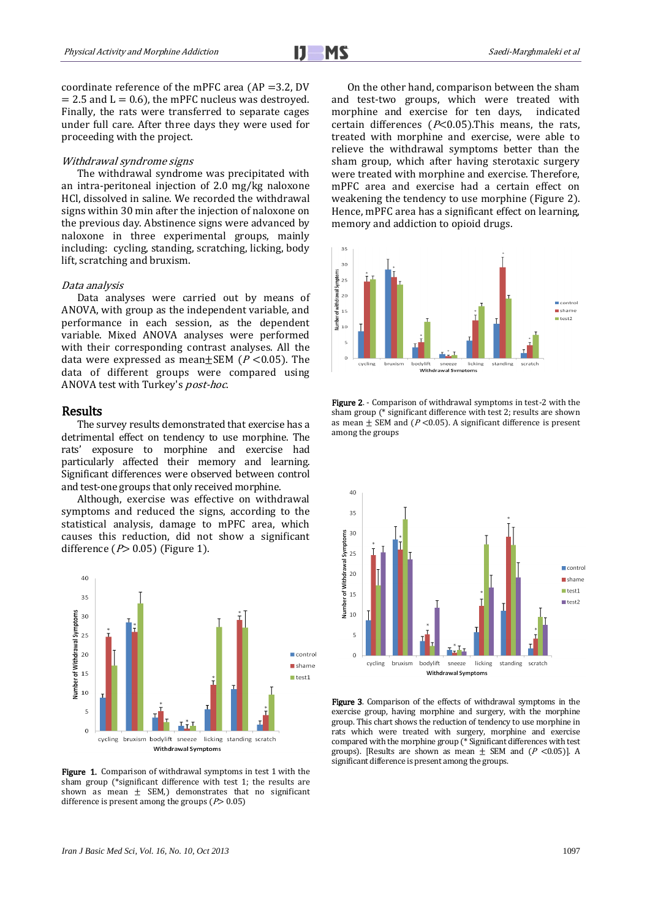

coordinate reference of the mPFC area ( $AP = 3.2$ , DV  $= 2.5$  and  $L = 0.6$ ), the mPFC nucleus was destroyed. Finally, the rats were transferred to separate cages under full care. After three days they were used for proceeding with the project.

#### Withdrawal syndrome signs

The withdrawal syndrome was precipitated with an intra-peritoneal injection of 2.0 mg/kg naloxone HCl, dissolved in saline. We recorded the withdrawal signs within 30 min after the injection of naloxone on the previous day. Abstinence signs were advanced by naloxone in three experimental groups, mainly including: cycling, standing, scratching, licking, body lift, scratching and bruxism.

#### Data analysis

Data analyses were carried out by means of ANOVA, with group as the independent variable, and performance in each session, as the dependent variable. Mixed ANOVA analyses were performed with their corresponding contrast analyses. All the data were expressed as mean $\pm$ SEM ( $P < 0.05$ ). The data of different groups were compared using ANOVA test with Turkey's post-hoc.

## Results

The survey results demonstrated that exercise has a detrimental effect on tendency to use morphine. The rats' exposure to morphine and exercise had particularly affected their memory and learning. Significant differences were observed between control and test-one groups that only received morphine.

Although, exercise was effective on withdrawal symptoms and reduced the signs, according to the statistical analysis, damage to mPFC area, which causes this reduction, did not show a significant difference ( $P > 0.05$ ) (Figure 1).



Figure 1. Comparison of withdrawal symptoms in test 1 with the sham group (\*significant difference with test 1; the results are shown as mean  $\pm$  SEM,) demonstrates that no significant difference is present among the groups ( $P$ > 0.05)

On the other hand, comparison between the sham and test-two groups, which were treated with morphine and exercise for ten days, indicated certain differences ( $P<0.05$ ). This means, the rats, treated with morphine and exercise, were able to relieve the withdrawal symptoms better than the sham group, which after having sterotaxic surgery were treated with morphine and exercise. Therefore, mPFC area and exercise had a certain effect on weakening the tendency to use morphine (Figure 2). Hence, mPFC area has a significant effect on learning, memory and addiction to opioid drugs.







Figure 3. Comparison of the effects of withdrawal symptoms in the exercise group, having morphine and surgery, with the morphine group. This chart shows the reduction of tendency to use morphine in rats which were treated with surgery, morphine and exercise compared with the morphine group (\* Significant differences with test groups). [Results are shown as mean  $\pm$  SEM and (P <0.05)]. A significant difference is present among the groups.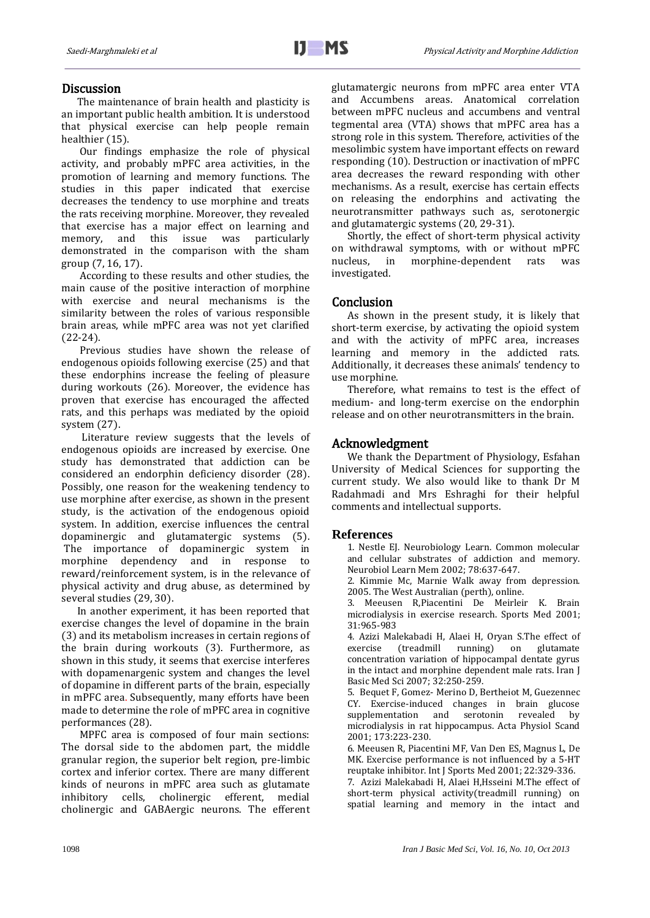## **Discussion**

The maintenance of brain health and plasticity is an important public health ambition. It is understood that physical exercise can help people remain healthier (15).

Our findings emphasize the role of physical activity, and probably mPFC area activities, in the promotion of learning and memory functions. The studies in this paper indicated that exercise decreases the tendency to use morphine and treats the rats receiving morphine. Moreover, they revealed that exercise has a major effect on learning and memory, and this issue was particularly demonstrated in the comparison with the sham group (7, 16, 17).

According to these results and other studies, the main cause of the positive interaction of morphine with exercise and neural mechanisms is the similarity between the roles of various responsible brain areas, while mPFC area was not yet clarified (22-24).

Previous studies have shown the release of endogenous opioids following exercise (25) and that these endorphins increase the feeling of pleasure during workouts (26). Moreover, the evidence has proven that exercise has encouraged the affected rats, and this perhaps was mediated by the opioid system (27).

 Literature review suggests that the levels of endogenous opioids are increased by exercise. One study has demonstrated that addiction can be considered an endorphin deficiency disorder (28). Possibly, one reason for the weakening tendency to use morphine after exercise, as shown in the present study, is the activation of the endogenous opioid system. In addition, exercise influences the central dopaminergic and glutamatergic systems (5). The importance of dopaminergic system in morphine dependency and in response to reward/reinforcement system, is in the relevance of physical activity and drug abuse, as determined by several studies (29, 30).

In another experiment, it has been reported that exercise changes the level of dopamine in the brain (3) and its metabolism increases in certain regions of the brain during workouts (3). Furthermore, as shown in this study, it seems that exercise interferes with dopamenargenic system and changes the level of dopamine in different parts of the brain, especially in mPFC area. Subsequently, many efforts have been made to determine the role of mPFC area in cognitive performances (28).

MPFC area is composed of four main sections: The dorsal side to the abdomen part, the middle granular region, the superior belt region, pre-limbic cortex and inferior cortex. There are many different kinds of neurons in mPFC area such as glutamate inhibitory cells, cholinergic efferent, medial cholinergic and GABAergic neurons. The efferent glutamatergic neurons from mPFC area enter VTA and Accumbens areas. Anatomical correlation between mPFC nucleus and accumbens and ventral tegmental area (VTA) shows that mPFC area has a strong role in this system. Therefore, activities of the mesolimbic system have important effects on reward responding (10). Destruction or inactivation of mPFC area decreases the reward responding with other mechanisms. As a result, exercise has certain effects on releasing the endorphins and activating the neurotransmitter pathways such as, serotonergic and glutamatergic systems (20, 29-31).

Shortly, the effect of short-term physical activity on withdrawal symptoms, with or without mPFC nucleus, in morphine-dependent rats was investigated.

### Conclusion

As shown in the present study, it is likely that short-term exercise, by activating the opioid system and with the activity of mPFC area, increases learning and memory in the addicted rats. Additionally, it decreases these animals' tendency to use morphine.

Therefore, what remains to test is the effect of medium- and long-term exercise on the endorphin release and on other neurotransmitters in the brain.

#### Acknowledgment

We thank the Department of Physiology, Esfahan University of Medical Sciences for supporting the current study. We also would like to thank Dr M Radahmadi and Mrs Eshraghi for their helpful comments and intellectual supports.

#### **References**

1. Nestle EJ. Neurobiology Learn. Common molecular and cellular substrates of addiction and memory. Neurobiol Learn Mem 2002; 78:637-647.

2. Kimmie Mc, Marnie Walk away from depression. 2005. The West Australian (perth), online.

3. Meeusen R,Piacentini De Meirleir K. Brain microdialysis in exercise research. Sports Med 2001; 31:965-983

4. Azizi Malekabadi H, Alaei H, Oryan S.The effect of exercise (treadmill running) on glutamate concentration variation of hippocampal dentate gyrus in the intact and morphine dependent male rats. Iran J Basic Med Sci 2007; 32:250-259.

5. Bequet F, Gomez- Merino D, Bertheiot M, Guezennec CY. Exercise-induced changes in brain glucose supplementation and serotonin revealed by microdialysis in rat hippocampus. Acta Physiol Scand 2001; 173:223-230.

6. Meeusen R, Piacentini MF, Van Den ES, Magnus L, De MK. Exercise performance is not influenced by a 5-HT reuptake inhibitor. Int J Sports Med 2001; 22:329-336.

7. Azizi Malekabadi H, Alaei H,Hsseini M.The effect of short-term physical activity(treadmill running) on spatial learning and memory in the intact and